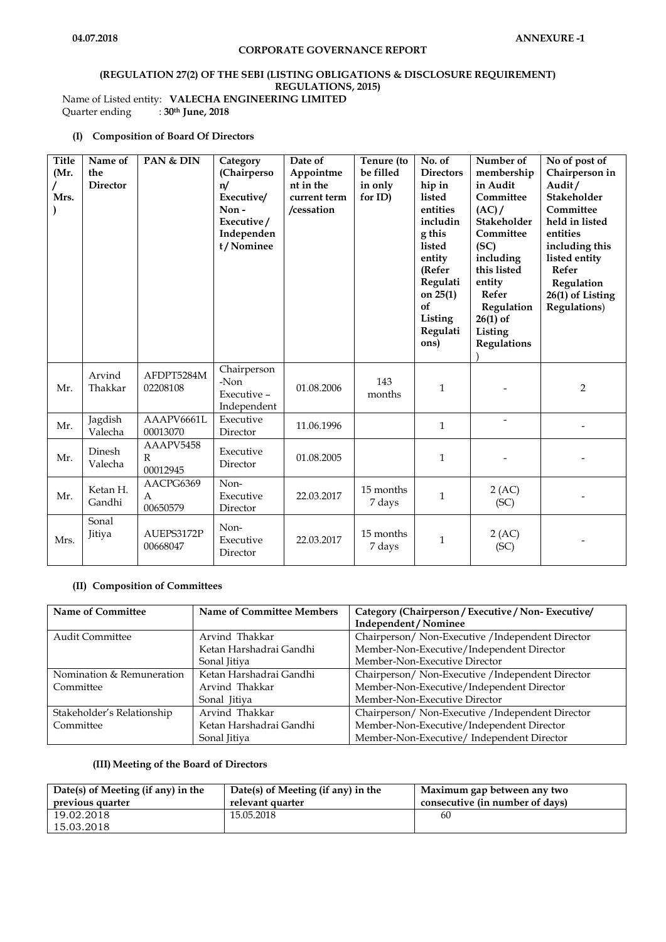# **(REGULATION 27(2) OF THE SEBI (LISTING OBLIGATIONS & DISCLOSURE REQUIREMENT) REGULATIONS, 2015)** Name of Listed entity: **VALECHA ENGINEERING LIMITED**<br>Quarter ending :  $30<sup>th</sup>$  June, 2018

Quarter ending : **30th June, 2018**

## **(I) Composition of Board Of Directors**

| <b>Title</b><br>(Mr.<br>Mrs. | Name of<br>the<br><b>Director</b> | PAN & DIN                  | Category<br>(Chairperso<br>n/<br>Executive/<br>Non-<br>Executive/<br>Independen<br>t/Nominee | Date of<br>Appointme<br>nt in the<br>current term<br>/cessation | Tenure (to<br>be filled<br>in only<br>for ID) | No. of<br><b>Directors</b><br>hip in<br>listed<br>entities<br>includin<br>g this<br>listed<br>entity<br>(Refer<br>Regulati<br>on $25(1)$<br>of<br>Listing<br>Regulati<br>ons) | Number of<br>membership<br>in Audit<br>Committee<br>(AC)<br>Stakeholder<br>Committee<br>(SC)<br>including<br>this listed<br>entity<br>Refer<br>Regulation<br>$26(1)$ of<br>Listing<br>Regulations | No of post of<br>Chairperson in<br>Audit/<br>Stakeholder<br>Committee<br>held in listed<br>entities<br>including this<br>listed entity<br>Refer<br>Regulation<br>26(1) of Listing<br><b>Regulations</b> ) |
|------------------------------|-----------------------------------|----------------------------|----------------------------------------------------------------------------------------------|-----------------------------------------------------------------|-----------------------------------------------|-------------------------------------------------------------------------------------------------------------------------------------------------------------------------------|---------------------------------------------------------------------------------------------------------------------------------------------------------------------------------------------------|-----------------------------------------------------------------------------------------------------------------------------------------------------------------------------------------------------------|
| Mr.                          | Arvind<br>Thakkar                 | AFDPT5284M<br>02208108     | Chairperson<br>-Non<br>Executive -<br>Independent                                            | 01.08.2006                                                      | 143<br>months                                 | $\mathbf{1}$                                                                                                                                                                  |                                                                                                                                                                                                   | $\overline{2}$                                                                                                                                                                                            |
| Mr.                          | Jagdish<br>Valecha                | AAAPV6661L<br>00013070     | Executive<br>Director                                                                        | 11.06.1996                                                      |                                               | $\mathbf{1}$                                                                                                                                                                  |                                                                                                                                                                                                   |                                                                                                                                                                                                           |
| Mr.                          | Dinesh<br>Valecha                 | AAAPV5458<br>R<br>00012945 | Executive<br>Director                                                                        | 01.08.2005                                                      |                                               | $\mathbf{1}$                                                                                                                                                                  |                                                                                                                                                                                                   |                                                                                                                                                                                                           |
| Mr.                          | Ketan H.<br>Gandhi                | AACPG6369<br>A<br>00650579 | Non-<br>Executive<br>Director                                                                | 22.03.2017                                                      | 15 months<br>7 days                           | $\mathbf{1}$                                                                                                                                                                  | 2 (AC)<br>(SC)                                                                                                                                                                                    |                                                                                                                                                                                                           |
| Mrs.                         | Sonal<br>Jitiya                   | AUEPS3172P<br>00668047     | Non-<br>Executive<br>Director                                                                | 22.03.2017                                                      | 15 months<br>7 days                           | $\mathbf{1}$                                                                                                                                                                  | 2 (AC)<br>(SC)                                                                                                                                                                                    |                                                                                                                                                                                                           |

#### **(II) Composition of Committees**

| <b>Name of Committee</b>   | <b>Name of Committee Members</b> | Category (Chairperson / Executive / Non-Executive/ |
|----------------------------|----------------------------------|----------------------------------------------------|
|                            |                                  | Independent / Nominee                              |
| <b>Audit Committee</b>     | Arvind Thakkar                   | Chairperson/ Non-Executive / Independent Director  |
|                            | Ketan Harshadrai Gandhi          | Member-Non-Executive/Independent Director          |
|                            | Sonal Jitiya                     | Member-Non-Executive Director                      |
| Nomination & Remuneration  | Ketan Harshadrai Gandhi          | Chairperson/ Non-Executive / Independent Director  |
| Committee                  | Arvind Thakkar                   | Member-Non-Executive/Independent Director          |
|                            | Sonal Jitiya                     | Member-Non-Executive Director                      |
| Stakeholder's Relationship | Arvind Thakkar                   | Chairperson/ Non-Executive / Independent Director  |
| Committee                  | Ketan Harshadrai Gandhi          | Member-Non-Executive/Independent Director          |
|                            | Sonal Jitiya                     | Member-Non-Executive/ Independent Director         |

#### **(III) Meeting of the Board of Directors**

| Date(s) of Meeting (if any) in the | Date(s) of Meeting (if any) in the | Maximum gap between any two     |
|------------------------------------|------------------------------------|---------------------------------|
| previous quarter                   | relevant quarter                   | consecutive (in number of days) |
| 19.02.2018<br>15.03.2018           | 15.05.2018                         | 60                              |